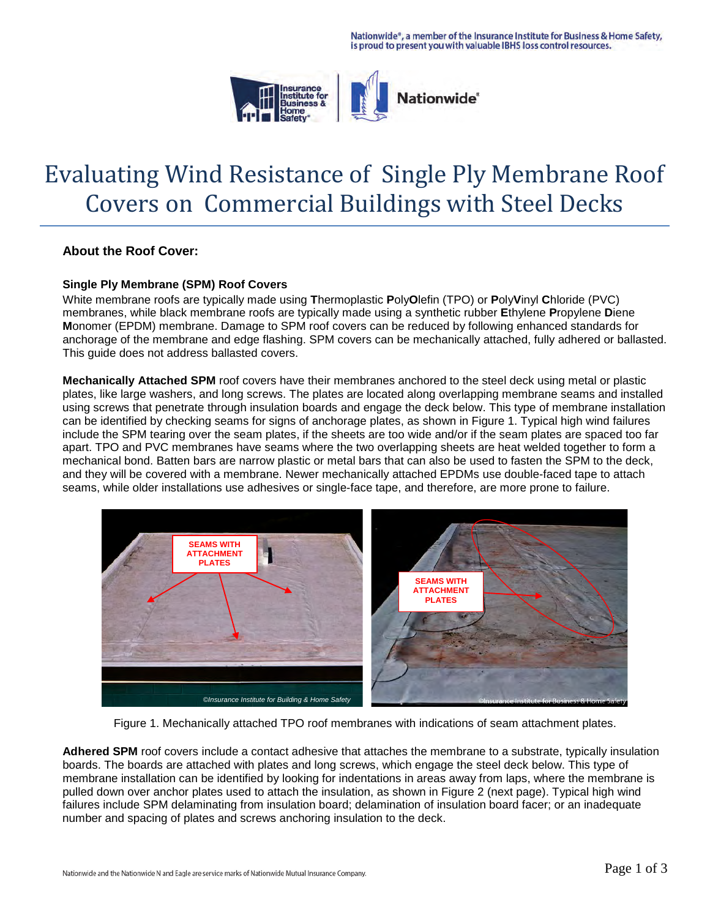

# Evaluating Wind Resistance of Single Ply Membrane Roof Covers on Commercial Buildings with Steel Decks

### **About the Roof Cover:**

#### **Single Ply Membrane (SPM) Roof Covers**

White membrane roofs are typically made using **T**hermoplastic **P**oly**O**lefin (TPO) or **P**oly**V**inyl **C**hloride (PVC) membranes, while black membrane roofs are typically made using a synthetic rubber **E**thylene **P**ropylene **D**iene **M**onomer (EPDM) membrane. Damage to SPM roof covers can be reduced by following enhanced standards for anchorage of the membrane and edge flashing. SPM covers can be mechanically attached, fully adhered or ballasted. This guide does not address ballasted covers.

**Mechanically Attached SPM** roof covers have their membranes anchored to the steel deck using metal or plastic plates, like large washers, and long screws. The plates are located along overlapping membrane seams and installed using screws that penetrate through insulation boards and engage the deck below. This type of membrane installation can be identified by checking seams for signs of anchorage plates, as shown in Figure 1. Typical high wind failures include the SPM tearing over the seam plates, if the sheets are too wide and/or if the seam plates are spaced too far apart. TPO and PVC membranes have seams where the two overlapping sheets are heat welded together to form a mechanical bond. Batten bars are narrow plastic or metal bars that can also be used to fasten the SPM to the deck, and they will be covered with a membrane. Newer mechanically attached EPDMs use double-faced tape to attach seams, while older installations use adhesives or single-face tape, and therefore, are more prone to failure.



Figure 1. Mechanically attached TPO roof membranes with indications of seam attachment plates.

Adhered SPM roof covers include a contact adhesive that attaches the membrane to a substrate, typically insulation boards. The boards are attached with plates and long screws, which engage the steel deck below. This type of membrane installation can be identified by looking for indentations in areas away from laps, where the membrane is pulled down over anchor plates used to attach the insulation, as shown in Figure 2 (next page). Typical high wind failures include SPM delaminating from insulation board; delamination of insulation board facer; or an inadequate number and spacing of plates and screws anchoring insulation to the deck.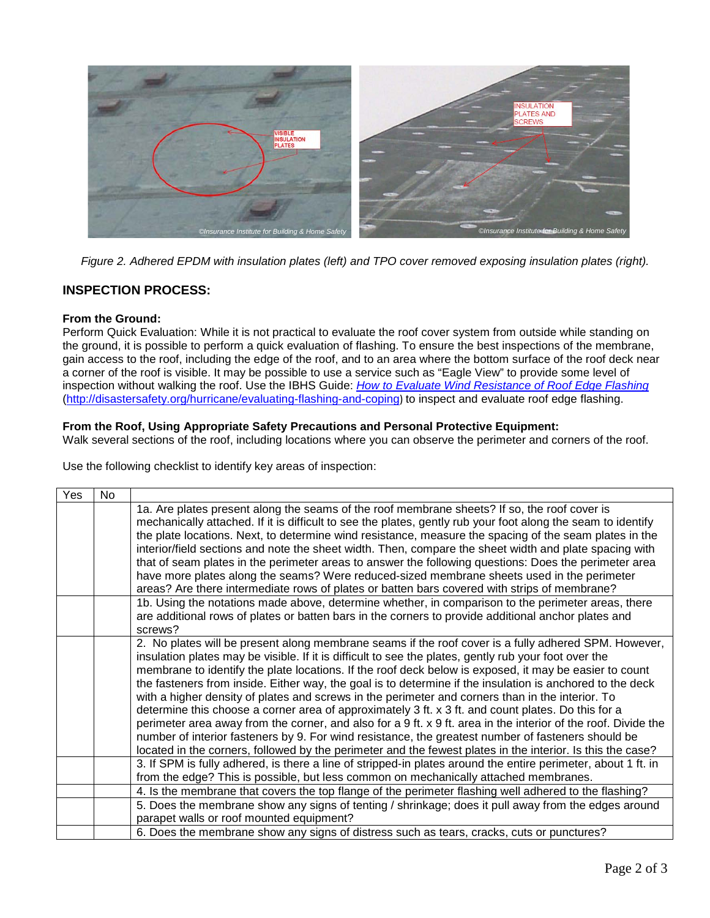

*Figure 2. Adhered EPDM with insulation plates (left) and TPO cover removed exposing insulation plates (right).* 

## **INSPECTION PROCESS:**

#### **From the Ground:**

Perform Quick Evaluation: While it is not practical to evaluate the roof cover system from outside while standing on the ground, it is possible to perform a quick evaluation of flashing. To ensure the best inspections of the membrane, gain access to the roof, including the edge of the roof, and to an area where the bottom surface of the roof deck near a corner of the roof is visible. It may be possible to use a service such as "Eagle View" to provide some level of inspection without walking the roof. Use the IBHS Guide: *[How to Evaluate Wind Resistance of Roof Edge Flashing](http://disastersafety.org/hurricane/evaluating-flashing-and-coping/)* [\(http://disastersafety.org/hurricane/evaluating-flashing-and-coping](http://disastersafety.org/hurricane/evaluating-flashing-and-coping/)) to inspect and evaluate roof edge flashing.

#### **From the Roof, Using Appropriate Safety Precautions and Personal Protective Equipment:**

Walk several sections of the roof, including locations where you can observe the perimeter and corners of the roof.

Use the following checklist to identify key areas of inspection:

| Yes | No |                                                                                                                |
|-----|----|----------------------------------------------------------------------------------------------------------------|
|     |    | 1a. Are plates present along the seams of the roof membrane sheets? If so, the roof cover is                   |
|     |    | mechanically attached. If it is difficult to see the plates, gently rub your foot along the seam to identify   |
|     |    | the plate locations. Next, to determine wind resistance, measure the spacing of the seam plates in the         |
|     |    | interior/field sections and note the sheet width. Then, compare the sheet width and plate spacing with         |
|     |    | that of seam plates in the perimeter areas to answer the following questions: Does the perimeter area          |
|     |    | have more plates along the seams? Were reduced-sized membrane sheets used in the perimeter                     |
|     |    | areas? Are there intermediate rows of plates or batten bars covered with strips of membrane?                   |
|     |    | 1b. Using the notations made above, determine whether, in comparison to the perimeter areas, there             |
|     |    | are additional rows of plates or batten bars in the corners to provide additional anchor plates and            |
|     |    | screws?                                                                                                        |
|     |    | 2. No plates will be present along membrane seams if the roof cover is a fully adhered SPM. However,           |
|     |    | insulation plates may be visible. If it is difficult to see the plates, gently rub your foot over the          |
|     |    | membrane to identify the plate locations. If the roof deck below is exposed, it may be easier to count         |
|     |    | the fasteners from inside. Either way, the goal is to determine if the insulation is anchored to the deck      |
|     |    | with a higher density of plates and screws in the perimeter and corners than in the interior. To               |
|     |    | determine this choose a corner area of approximately 3 ft. x 3 ft. and count plates. Do this for a             |
|     |    | perimeter area away from the corner, and also for a 9 ft. x 9 ft. area in the interior of the roof. Divide the |
|     |    | number of interior fasteners by 9. For wind resistance, the greatest number of fasteners should be             |
|     |    | located in the corners, followed by the perimeter and the fewest plates in the interior. Is this the case?     |
|     |    | 3. If SPM is fully adhered, is there a line of stripped-in plates around the entire perimeter, about 1 ft. in  |
|     |    | from the edge? This is possible, but less common on mechanically attached membranes.                           |
|     |    | 4. Is the membrane that covers the top flange of the perimeter flashing well adhered to the flashing?          |
|     |    | 5. Does the membrane show any signs of tenting / shrinkage; does it pull away from the edges around            |
|     |    | parapet walls or roof mounted equipment?                                                                       |
|     |    | 6. Does the membrane show any signs of distress such as tears, cracks, cuts or punctures?                      |